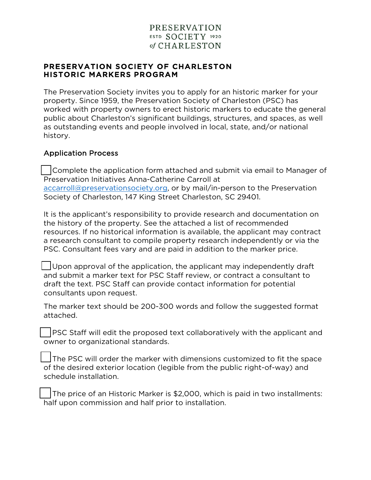### PRESERVATION SOCIETY OF CHARLESTON HISTORIC MARKERS PROGRAM

The Preservation Society invites you to apply for an historic marker for your property. Since 1959, the Preservation Society of Charleston (PSC) has worked with property owners to erect historic markers to educate the general public about Charleston's significant buildings, structures, and spaces, as well as outstanding events and people involved in local, state, and/or national history.

### Application Process

Complete the application form attached and submit via email to Manager of Preservation Initiatives Anna-Catherine Carroll at accarroll@preservationsociety.org, or by mail/in-person to the Preservation Society of Charleston, 147 King Street Charleston, SC 29401.

It is the applicant's responsibility to provide research and documentation on the history of the property. See the attached a list of recommended resources. If no historical information is available, the applicant may contract a research consultant to compile property research independently or via the PSC. Consultant fees vary and are paid in addition to the marker price.

 $\Box$  Upon approval of the application, the applicant may independently draft and submit a marker text for PSC Staff review, or contract a consultant to draft the text. PSC Staff can provide contact information for potential consultants upon request.

The marker text should be 200-300 words and follow the suggested format attached.

**PSC Staff will edit the proposed text collaboratively with the applicant and** owner to organizational standards.

The PSC will order the marker with dimensions customized to fit the space of the desired exterior location (legible from the public right-of-way) and schedule installation.

The price of an Historic Marker is \$2,000, which is paid in two installments: half upon commission and half prior to installation.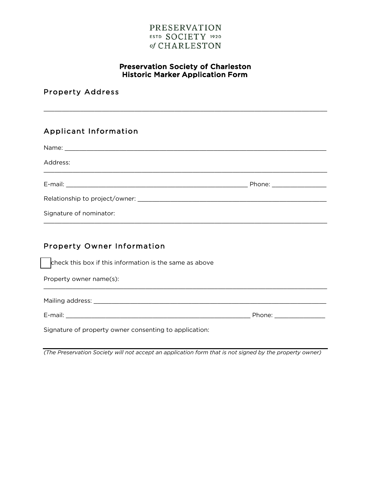#### Preservation Society of Charleston Historic Marker Application Form

\_\_\_\_\_\_\_\_\_\_\_\_\_\_\_\_\_\_\_\_\_\_\_\_\_\_\_\_\_\_\_\_\_\_\_\_\_\_\_\_\_\_\_\_\_\_\_\_\_\_\_\_\_\_\_\_\_\_\_\_\_\_\_\_\_\_\_\_\_\_\_\_\_\_\_\_\_\_

Property Address

# Applicant Information

| Address:                |                           |
|-------------------------|---------------------------|
|                         | Phone: __________________ |
|                         |                           |
| Signature of nominator: |                           |

### Property Owner Information

check this box if this information is the same as above

Property owner name(s):

Mailing address: \_\_\_\_\_\_\_\_\_\_\_\_\_\_\_\_\_\_\_\_\_\_\_\_\_\_\_\_\_\_\_\_\_\_\_\_\_\_\_\_\_\_\_\_\_\_\_\_\_\_\_\_\_\_\_\_\_\_\_\_\_\_\_\_

E-mail: \_\_\_\_\_\_\_\_\_\_\_\_\_\_\_\_\_\_\_\_\_\_\_\_\_\_\_\_\_\_\_\_\_\_\_\_\_\_\_\_\_\_\_\_\_\_\_\_\_\_\_ Phone: \_\_\_\_\_\_\_\_\_\_\_\_\_\_

Signature of property owner consenting to application:

*(The Preservation Society will not accept an application form that is not signed by the property owner)* 

\_\_\_\_\_\_\_\_\_\_\_\_\_\_\_\_\_\_\_\_\_\_\_\_\_\_\_\_\_\_\_\_\_\_\_\_\_\_\_\_\_\_\_\_\_\_\_\_\_\_\_\_\_\_\_\_\_\_\_\_\_\_\_\_\_\_\_\_\_\_\_\_\_\_\_\_\_\_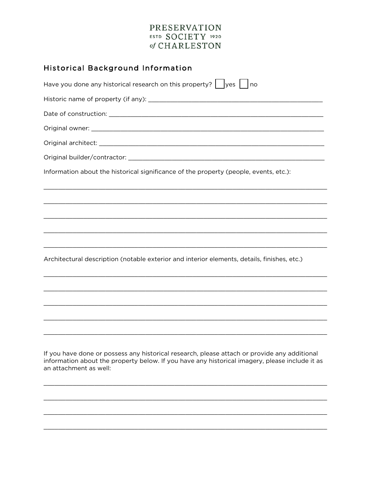| <b>Historical Background Information</b>                                                                                                                                                       |
|------------------------------------------------------------------------------------------------------------------------------------------------------------------------------------------------|
| Have you done any historical research on this property? $\vert \ \vert_{\text{yes}} \vert \ \vert_{\text{no}}$                                                                                 |
|                                                                                                                                                                                                |
|                                                                                                                                                                                                |
|                                                                                                                                                                                                |
|                                                                                                                                                                                                |
|                                                                                                                                                                                                |
| Information about the historical significance of the property (people, events, etc.):                                                                                                          |
|                                                                                                                                                                                                |
|                                                                                                                                                                                                |
|                                                                                                                                                                                                |
|                                                                                                                                                                                                |
|                                                                                                                                                                                                |
| Architectural description (notable exterior and interior elements, details, finishes, etc.)                                                                                                    |
|                                                                                                                                                                                                |
|                                                                                                                                                                                                |
|                                                                                                                                                                                                |
|                                                                                                                                                                                                |
|                                                                                                                                                                                                |
|                                                                                                                                                                                                |
| If you have done or possess any historical research, please attach or provide any additional<br>information about the property below. If you have any historical imagery, please include it as |

an attachment as well: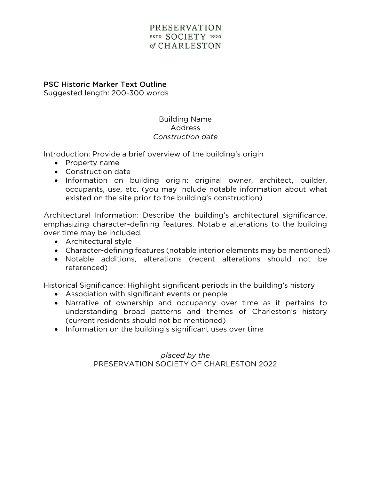#### PSC Historic Marker Text Outline

Suggested length: 200-300 words

### Building Name Address *Construction date*

Introduction: Provide a brief overview of the building's origin

- Property name
- Construction date
- Information on building origin: original owner, architect, builder, occupants, use, etc. (you may include notable information about what existed on the site prior to the building's construction)

Architectural Information: Describe the building's architectural significance, emphasizing character-defining features. Notable alterations to the building over time may be included.

- Architectural style
- Character-defining features (notable interior elements may be mentioned)
- Notable additions, alterations (recent alterations should not be referenced)

Historical Significance: Highlight significant periods in the building's history

- Association with significant events or people
- Narrative of ownership and occupancy over time as it pertains to understanding broad patterns and themes of Charleston's history (current residents should not be mentioned)
- Information on the building's significant uses over time

*placed by the*  PRESERVATION SOCIETY OF CHARLESTON 2022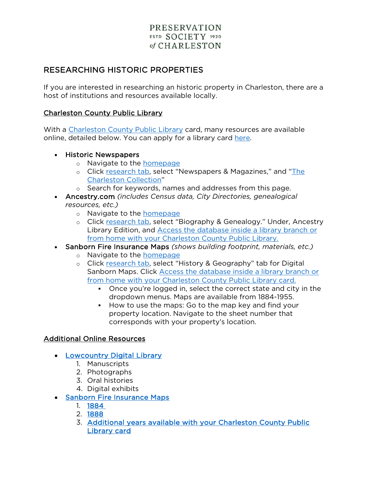# RESEARCHING HISTORIC PROPERTIES

If you are interested in researching an historic property in Charleston, there are a host of institutions and resources available locally.

#### Charleston County Public Library

With a Charleston County Public Library card, many resources are available online, detailed below. You can apply for a library card here.

- Historic Newspapers
	- o Navigate to the homepage
	- o Click research tab, select "Newspapers & Magazines," and "The Charleston Collection"
	- o Search for keywords, names and addresses from this page.
- Ancestry.com *(includes Census data, City Directories, genealogical resources, etc.)*
	- o Navigate to the **homepage**
	- o Click research tab, select "Biography & Genealogy." Under, Ancestry Library Edition, and Access the database inside a library branch or from home with your Charleston County Public Library.
- Sanborn Fire Insurance Maps *(shows building footprint, materials, etc.)*
	- o Navigate to the homepage
	- o Click research tab, select "History & Geography" tab for Digital Sanborn Maps. Click Access the database inside a library branch or from home with your Charleston County Public Library card.
		- Once you're logged in, select the correct state and city in the dropdown menus. Maps are available from 1884-1955.
		- How to use the maps: Go to the map key and find your property location. Navigate to the sheet number that corresponds with your property's location.

### Additional Online Resources

- Lowcountry Digital Library
	- 1. Manuscripts
	- 2. Photographs
	- 3. Oral histories
	- 4. Digital exhibits
- Sanborn Fire Insurance Maps
	- 1. 1884
	- 2. 1888
	- 3. Additional years available with your Charleston County Public Library card